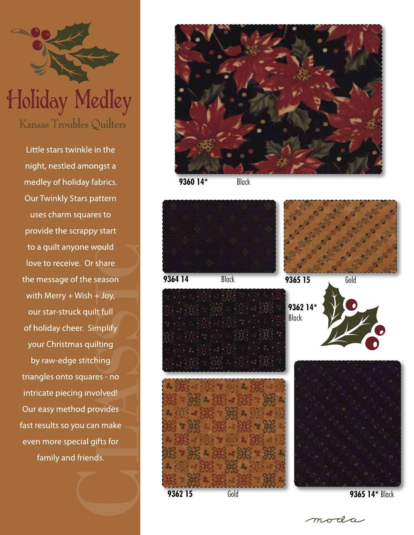

Little stars twinkle in the night, nestled amongst a medley of holiday fabrics. **Our Twinkly Stars pattern** uses charm squares to provide the scrappy start to a quilt anyone would love to receive. Or share the message of the season with Merry + Wish + Joy, our star-struck quilt full of holiday cheer. Simplify your Christmas quilting by raw-edge stitching triangles onto squares - no intricate piecing involved! Our easy method provides fast results so you can make even more special gifts for family and friends.



**9360 14\*** Black



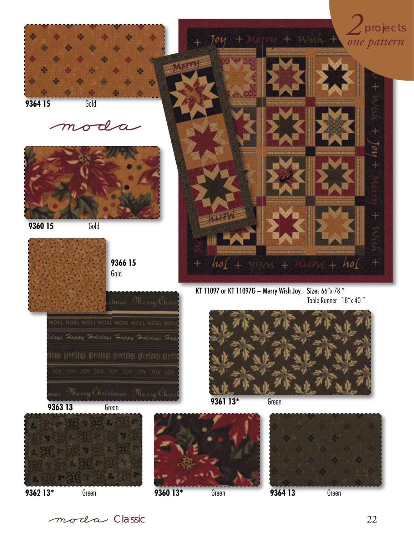

Classic 22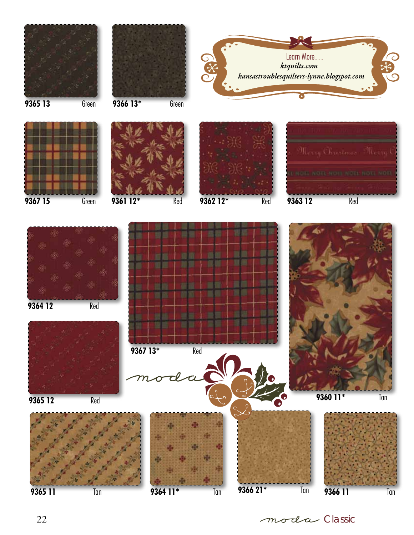